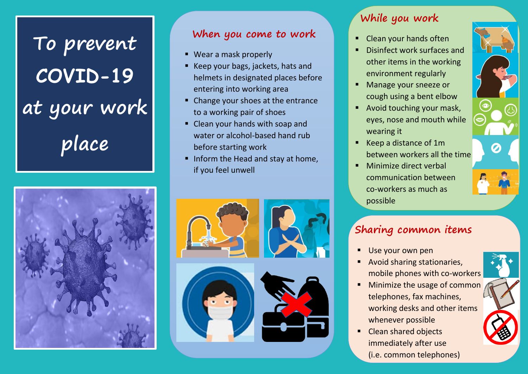**To prevent COVID-19 at your work place**



#### **When you come to work**

- Wear a mask properly
- Keep your bags, jackets, hats and helmets in designated places before entering into working area
- Change your shoes at the entrance to a working pair of shoes
- Clean your hands with soap and water or alcohol-based hand rub before starting work
- Inform the Head and stay at home, if you feel unwell



### **While you work**

- Clean your hands often
- Disinfect work surfaces and other items in the working environment regularly
- **Manage your sneeze or** cough using a bent elbow
- **Avoid touching your mask,** eyes, nose and mouth while wearing it
- Keep a distance of 1m between workers all the time
- **Minimize direct verbal** communication between co-workers as much as possible



## **Sharing common items**

- Use your own pen
- Avoid sharing stationaries, mobile phones with co-workers
- Minimize the usage of common telephones, fax machines, working desks and other items whenever possible
- Clean shared objects immediately after use (i.e. common telephones)